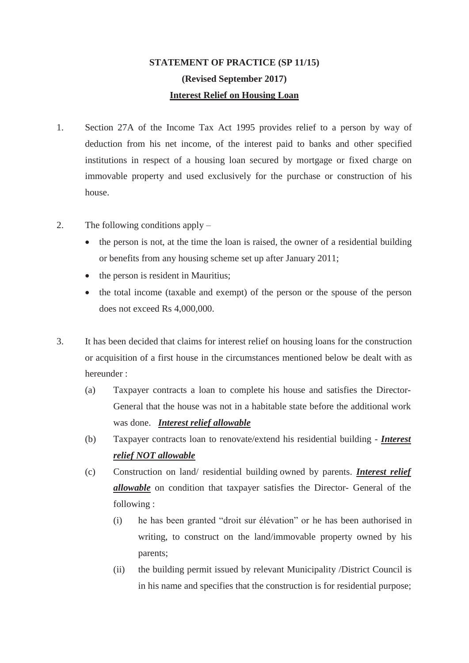## **STATEMENT OF PRACTICE (SP 11/15) (Revised September 2017) Interest Relief on Housing Loan**

- 1. Section 27A of the Income Tax Act 1995 provides relief to a person by way of deduction from his net income, of the interest paid to banks and other specified institutions in respect of a housing loan secured by mortgage or fixed charge on immovable property and used exclusively for the purchase or construction of his house.
- 2. The following conditions apply
	- the person is not, at the time the loan is raised, the owner of a residential building or benefits from any housing scheme set up after January 2011;
	- $\bullet$  the person is resident in Mauritius;
	- the total income (taxable and exempt) of the person or the spouse of the person does not exceed Rs 4,000,000.
- 3. It has been decided that claims for interest relief on housing loans for the construction or acquisition of a first house in the circumstances mentioned below be dealt with as hereunder :
	- (a) Taxpayer contracts a loan to complete his house and satisfies the Director-General that the house was not in a habitable state before the additional work was done. *Interest relief allowable*
	- (b) Taxpayer contracts loan to renovate/extend his residential building *Interest relief NOT allowable*
	- (c) Construction on land/ residential building owned by parents. *Interest relief allowable* on condition that taxpayer satisfies the Director- General of the following :
		- (i) he has been granted "droit sur élévation" or he has been authorised in writing, to construct on the land/immovable property owned by his parents;
		- (ii) the building permit issued by relevant Municipality /District Council is in his name and specifies that the construction is for residential purpose;